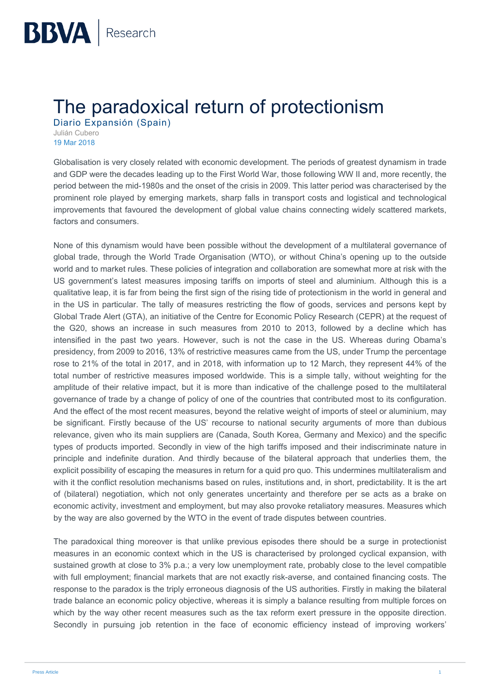## **The paradoxical return of protectionism**

Diario Expansión (Spain) Julián Cubero 19 Mar 2018

Globalisation is very closely related with economic development. The periods of greatest dynamism in trade and GDP were the decades leading up to the First World War, those following WW II and, more recently, the period between the mid-1980s and the onset of the crisis in 2009. This latter period was characterised by the prominent role played by emerging markets, sharp falls in transport costs and logistical and technological improvements that favoured the development of global value chains connecting widely scattered markets, factors and consumers.

None of this dynamism would have been possible without the development of a multilateral governance of global trade, through the World Trade Organisation (WTO), or without China's opening up to the outside world and to market rules. These policies of integration and collaboration are somewhat more at risk with the US government's latest measures imposing tariffs on imports of steel and aluminium. Although this is a qualitative leap, it is far from being the first sign of the rising tide of protectionism in the world in general and in the US in particular. The tally of measures restricting the flow of goods, services and persons kept by Global Trade Alert (GTA), an initiative of the Centre for Economic Policy Research (CEPR) at the request of the G20, shows an increase in such measures from 2010 to 2013, followed by a decline which has intensified in the past two years. However, such is not the case in the US. Whereas during Obama's presidency, from 2009 to 2016, 13% of restrictive measures came from the US, under Trump the percentage rose to 21% of the total in 2017, and in 2018, with information up to 12 March, they represent 44% of the total number of restrictive measures imposed worldwide. This is a simple tally, without weighting for the amplitude of their relative impact, but it is more than indicative of the challenge posed to the multilateral governance of trade by a change of policy of one of the countries that contributed most to its configuration. And the effect of the most recent measures, beyond the relative weight of imports of steel or aluminium, may be significant. Firstly because of the US' recourse to national security arguments of more than dubious relevance, given who its main suppliers are (Canada, South Korea, Germany and Mexico) and the specific types of products imported. Secondly in view of the high tariffs imposed and their indiscriminate nature in principle and indefinite duration. And thirdly because of the bilateral approach that underlies them, the explicit possibility of escaping the measures in return for a quid pro quo. This undermines multilateralism and with it the conflict resolution mechanisms based on rules, institutions and, in short, predictability. It is the art of (bilateral) negotiation, which not only generates uncertainty and therefore per se acts as a brake on economic activity, investment and employment, but may also provoke retaliatory measures. Measures which by the way are also governed by the WTO in the event of trade disputes between countries.

The paradoxical thing moreover is that unlike previous episodes there should be a surge in protectionist measures in an economic context which in the US is characterised by prolonged cyclical expansion, with sustained growth at close to 3% p.a.; a very low unemployment rate, probably close to the level compatible with full employment; financial markets that are not exactly risk-averse, and contained financing costs. The response to the paradox is the triply erroneous diagnosis of the US authorities. Firstly in making the bilateral trade balance an economic policy objective, whereas it is simply a balance resulting from multiple forces on which by the way other recent measures such as the tax reform exert pressure in the opposite direction. Secondly in pursuing job retention in the face of economic efficiency instead of improving workers'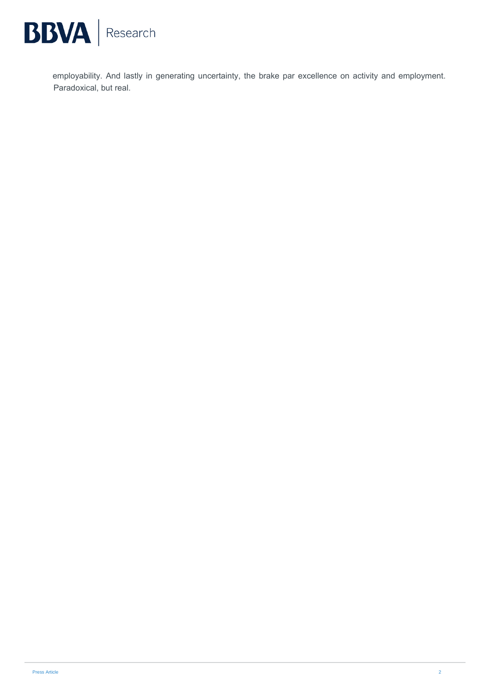

employability. And lastly in generating uncertainty, the brake par excellence on activity and employment. Paradoxical, but real.